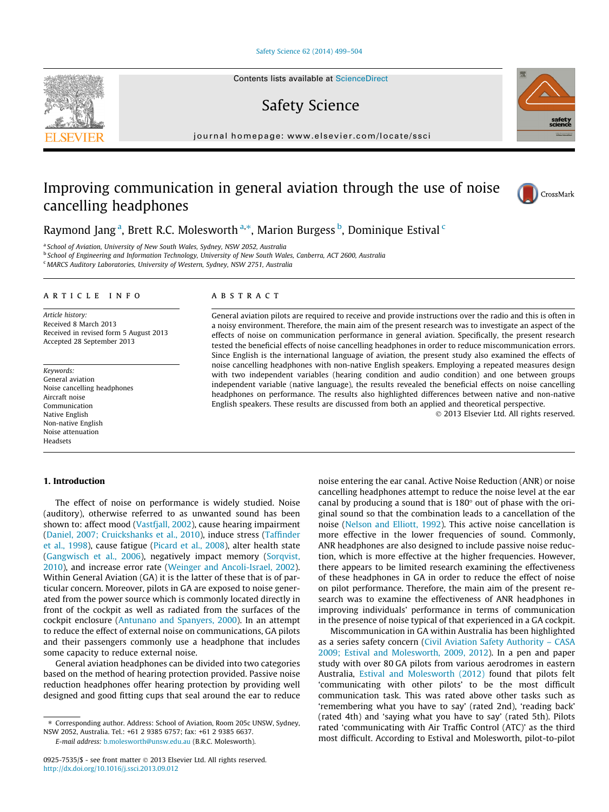#### [Safety Science 62 \(2014\) 499–504](http://dx.doi.org/10.1016/j.ssci.2013.09.012)

Contents lists available at [ScienceDirect](http://www.sciencedirect.com/science/journal/09257535)

# Safety Science

journal homepage: [www.elsevier.com/locate/ssci](http://www.elsevier.com/locate/ssci)

# Improving communication in general aviation through the use of noise cancelling headphones



Raymond Jang<sup>a</sup>, Brett R.C. Molesworth<sup>a,\*</sup>, Marion Burgess <sup>b</sup>, Dominique Estival <sup>c</sup>

<sup>a</sup> School of Aviation, University of New South Wales, Sydney, NSW 2052, Australia

<sup>b</sup> School of Engineering and Information Technology, University of New South Wales, Canberra, ACT 2600, Australia

<sup>c</sup> MARCS Auditory Laboratories, University of Western, Sydney, NSW 2751, Australia

#### article info

Article history: Received 8 March 2013 Received in revised form 5 August 2013 Accepted 28 September 2013

Keywords: General aviation Noise cancelling headphones Aircraft noise Communication Native English Non-native English Noise attenuation Headsets

#### 1. Introduction

The effect of noise on performance is widely studied. Noise (auditory), otherwise referred to as unwanted sound has been shown to: affect mood [\(Vastfjall, 2002](#page-5-0)), cause hearing impairment ([Daniel, 2007; Cruickshanks et al., 2010\)](#page-5-0), induce stress ([Taffinder](#page-5-0) [et al., 1998\)](#page-5-0), cause fatigue [\(Picard et al., 2008\)](#page-5-0), alter health state ([Gangwisch et al., 2006\)](#page-5-0), negatively impact memory [\(Sorqvist,](#page-5-0) [2010](#page-5-0)), and increase error rate [\(Weinger and Ancoli-Israel, 2002\)](#page-5-0). Within General Aviation (GA) it is the latter of these that is of particular concern. Moreover, pilots in GA are exposed to noise generated from the power source which is commonly located directly in front of the cockpit as well as radiated from the surfaces of the cockpit enclosure ([Antunano and Spanyers, 2000\)](#page-5-0). In an attempt to reduce the effect of external noise on communications, GA pilots and their passengers commonly use a headphone that includes some capacity to reduce external noise.

General aviation headphones can be divided into two categories based on the method of hearing protection provided. Passive noise reduction headphones offer hearing protection by providing well designed and good fitting cups that seal around the ear to reduce

E-mail address: [b.molesworth@unsw.edu.au](mailto:b.molesworth@unsw.edu.au) (B.R.C. Molesworth).

# A B S T R A C T

General aviation pilots are required to receive and provide instructions over the radio and this is often in a noisy environment. Therefore, the main aim of the present research was to investigate an aspect of the effects of noise on communication performance in general aviation. Specifically, the present research tested the beneficial effects of noise cancelling headphones in order to reduce miscommunication errors. Since English is the international language of aviation, the present study also examined the effects of noise cancelling headphones with non-native English speakers. Employing a repeated measures design with two independent variables (hearing condition and audio condition) and one between groups independent variable (native language), the results revealed the beneficial effects on noise cancelling headphones on performance. The results also highlighted differences between native and non-native English speakers. These results are discussed from both an applied and theoretical perspective.

- 2013 Elsevier Ltd. All rights reserved.

noise entering the ear canal. Active Noise Reduction (ANR) or noise cancelling headphones attempt to reduce the noise level at the ear canal by producing a sound that is  $180^\circ$  out of phase with the original sound so that the combination leads to a cancellation of the noise ([Nelson and Elliott, 1992](#page-5-0)). This active noise cancellation is more effective in the lower frequencies of sound. Commonly, ANR headphones are also designed to include passive noise reduction, which is more effective at the higher frequencies. However, there appears to be limited research examining the effectiveness of these headphones in GA in order to reduce the effect of noise on pilot performance. Therefore, the main aim of the present research was to examine the effectiveness of ANR headphones in improving individuals' performance in terms of communication in the presence of noise typical of that experienced in a GA cockpit.

Miscommunication in GA within Australia has been highlighted as a series safety concern [\(Civil Aviation Safety Authority – CASA](#page-5-0) [2009; Estival and Molesworth, 2009, 2012\)](#page-5-0). In a pen and paper study with over 80 GA pilots from various aerodromes in eastern Australia, [Estival and Molesworth \(2012\)](#page-5-0) found that pilots felt 'communicating with other pilots' to be the most difficult communication task. This was rated above other tasks such as 'remembering what you have to say' (rated 2nd), 'reading back' (rated 4th) and 'saying what you have to say' (rated 5th). Pilots rated 'communicating with Air Traffic Control (ATC)' as the third most difficult. According to Estival and Molesworth, pilot-to-pilot





CrossMark

<sup>⇑</sup> Corresponding author. Address: School of Aviation, Room 205c UNSW, Sydney, NSW 2052, Australia. Tel.: +61 2 9385 6757; fax: +61 2 9385 6637.

<sup>0925-7535/\$ -</sup> see front matter © 2013 Elsevier Ltd. All rights reserved. <http://dx.doi.org/10.1016/j.ssci.2013.09.012>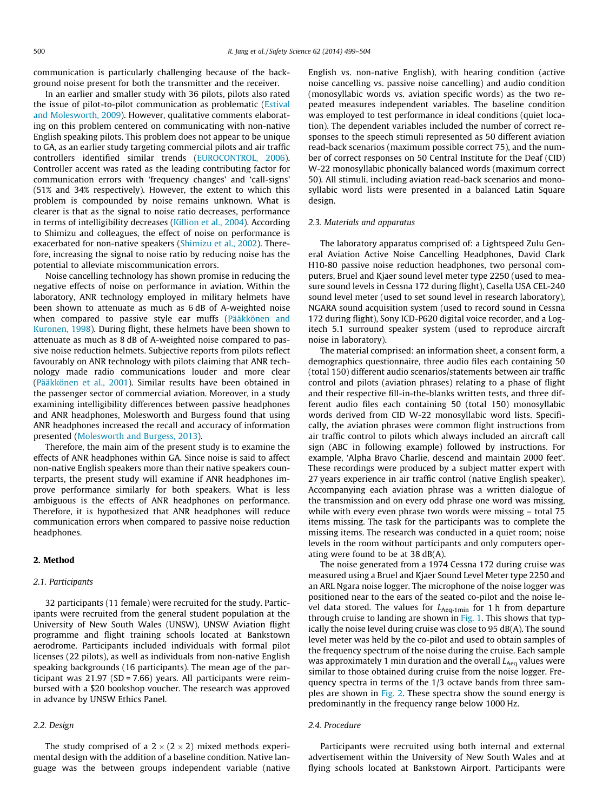communication is particularly challenging because of the background noise present for both the transmitter and the receiver.

In an earlier and smaller study with 36 pilots, pilots also rated the issue of pilot-to-pilot communication as problematic ([Estival](#page-5-0) [and Molesworth, 2009](#page-5-0)). However, qualitative comments elaborating on this problem centered on communicating with non-native English speaking pilots. This problem does not appear to be unique to GA, as an earlier study targeting commercial pilots and air traffic controllers identified similar trends ([EUROCONTROL, 2006\)](#page-5-0). Controller accent was rated as the leading contributing factor for communication errors with 'frequency changes' and 'call-signs' (51% and 34% respectively). However, the extent to which this problem is compounded by noise remains unknown. What is clearer is that as the signal to noise ratio decreases, performance in terms of intelligibility decreases ([Killion et al., 2004\)](#page-5-0). According to Shimizu and colleagues, the effect of noise on performance is exacerbated for non-native speakers [\(Shimizu et al., 2002\)](#page-5-0). Therefore, increasing the signal to noise ratio by reducing noise has the potential to alleviate miscommunication errors.

Noise cancelling technology has shown promise in reducing the negative effects of noise on performance in aviation. Within the laboratory, ANR technology employed in military helmets have been shown to attenuate as much as 6 dB of A-weighted noise when compared to passive style ear muffs ([Pääkkönen and](#page-5-0) [Kuronen, 1998\)](#page-5-0). During flight, these helmets have been shown to attenuate as much as 8 dB of A-weighted noise compared to passive noise reduction helmets. Subjective reports from pilots reflect favourably on ANR technology with pilots claiming that ANR technology made radio communications louder and more clear ([Pääkkönen et al., 2001\)](#page-5-0). Similar results have been obtained in the passenger sector of commercial aviation. Moreover, in a study examining intelligibility differences between passive headphones and ANR headphones, Molesworth and Burgess found that using ANR headphones increased the recall and accuracy of information presented ([Molesworth and Burgess, 2013](#page-5-0)).

Therefore, the main aim of the present study is to examine the effects of ANR headphones within GA. Since noise is said to affect non-native English speakers more than their native speakers counterparts, the present study will examine if ANR headphones improve performance similarly for both speakers. What is less ambiguous is the effects of ANR headphones on performance. Therefore, it is hypothesized that ANR headphones will reduce communication errors when compared to passive noise reduction headphones.

### 2. Method

# 2.1. Participants

32 participants (11 female) were recruited for the study. Participants were recruited from the general student population at the University of New South Wales (UNSW), UNSW Aviation flight programme and flight training schools located at Bankstown aerodrome. Participants included individuals with formal pilot licenses (22 pilots), as well as individuals from non-native English speaking backgrounds (16 participants). The mean age of the participant was 21.97 (SD = 7.66) years. All participants were reimbursed with a \$20 bookshop voucher. The research was approved in advance by UNSW Ethics Panel.

# 2.2. Design

The study comprised of a 2  $\times$  (2  $\times$  2) mixed methods experimental design with the addition of a baseline condition. Native language was the between groups independent variable (native English vs. non-native English), with hearing condition (active noise cancelling vs. passive noise cancelling) and audio condition (monosyllabic words vs. aviation specific words) as the two repeated measures independent variables. The baseline condition was employed to test performance in ideal conditions (quiet location). The dependent variables included the number of correct responses to the speech stimuli represented as 50 different aviation read-back scenarios (maximum possible correct 75), and the number of correct responses on 50 Central Institute for the Deaf (CID) W-22 monosyllabic phonically balanced words (maximum correct 50). All stimuli, including aviation read-back scenarios and monosyllabic word lists were presented in a balanced Latin Square design.

#### 2.3. Materials and apparatus

The laboratory apparatus comprised of: a Lightspeed Zulu General Aviation Active Noise Cancelling Headphones, David Clark H10-80 passive noise reduction headphones, two personal computers, Bruel and Kjaer sound level meter type 2250 (used to measure sound levels in Cessna 172 during flight), Casella USA CEL-240 sound level meter (used to set sound level in research laboratory), NGARA sound acquisition system (used to record sound in Cessna 172 during flight), Sony ICD-P620 digital voice recorder, and a Logitech 5.1 surround speaker system (used to reproduce aircraft noise in laboratory).

The material comprised: an information sheet, a consent form, a demographics questionnaire, three audio files each containing 50 (total 150) different audio scenarios/statements between air traffic control and pilots (aviation phrases) relating to a phase of flight and their respective fill-in-the-blanks written tests, and three different audio files each containing 50 (total 150) monosyllabic words derived from CID W-22 monosyllabic word lists. Specifically, the aviation phrases were common flight instructions from air traffic control to pilots which always included an aircraft call sign (ABC in following example) followed by instructions. For example, 'Alpha Bravo Charlie, descend and maintain 2000 feet'. These recordings were produced by a subject matter expert with 27 years experience in air traffic control (native English speaker). Accompanying each aviation phrase was a written dialogue of the transmission and on every odd phrase one word was missing, while with every even phrase two words were missing – total 75 items missing. The task for the participants was to complete the missing items. The research was conducted in a quiet room; noise levels in the room without participants and only computers operating were found to be at  $38$  dB(A).

The noise generated from a 1974 Cessna 172 during cruise was measured using a Bruel and Kjaer Sound Level Meter type 2250 and an ARL Ngara noise logger. The microphone of the noise logger was positioned near to the ears of the seated co-pilot and the noise level data stored. The values for  $L_{Aeq,1min}$  for 1 h from departure through cruise to landing are shown in [Fig. 1](#page-2-0). This shows that typically the noise level during cruise was close to 95 dB(A). The sound level meter was held by the co-pilot and used to obtain samples of the frequency spectrum of the noise during the cruise. Each sample was approximately 1 min duration and the overall  $L_{Aeq}$  values were similar to those obtained during cruise from the noise logger. Frequency spectra in terms of the 1/3 octave bands from three samples are shown in [Fig. 2.](#page-2-0) These spectra show the sound energy is predominantly in the frequency range below 1000 Hz.

## 2.4. Procedure

Participants were recruited using both internal and external advertisement within the University of New South Wales and at flying schools located at Bankstown Airport. Participants were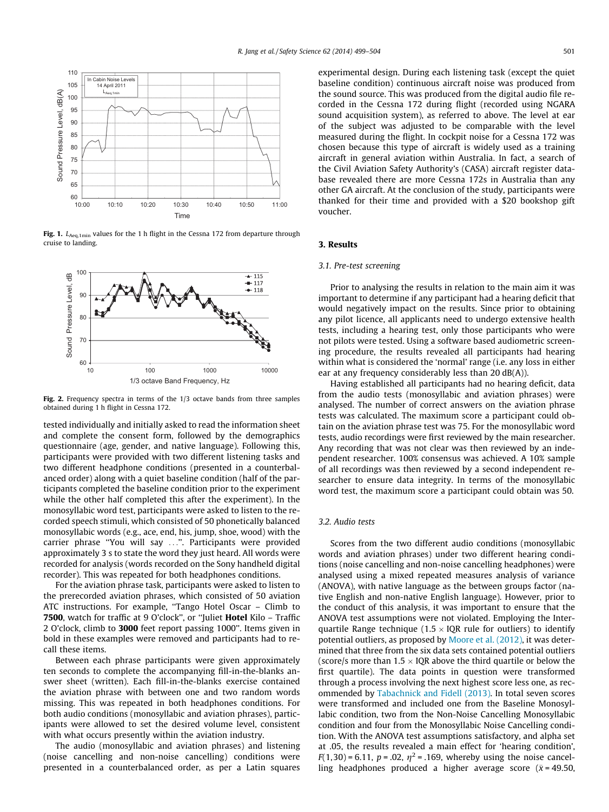<span id="page-2-0"></span>

Fig. 1.  $L_{\text{Aeq,1min}}$  values for the 1 h flight in the Cessna 172 from departure through cruise to landing.



Fig. 2. Frequency spectra in terms of the 1/3 octave bands from three samples obtained during 1 h flight in Cessna 172.

tested individually and initially asked to read the information sheet and complete the consent form, followed by the demographics questionnaire (age, gender, and native language). Following this, participants were provided with two different listening tasks and two different headphone conditions (presented in a counterbalanced order) along with a quiet baseline condition (half of the participants completed the baseline condition prior to the experiment while the other half completed this after the experiment). In the monosyllabic word test, participants were asked to listen to the recorded speech stimuli, which consisted of 50 phonetically balanced monosyllabic words (e.g., ace, end, his, jump, shoe, wood) with the carrier phrase ''You will say ...''. Participants were provided approximately 3 s to state the word they just heard. All words were recorded for analysis (words recorded on the Sony handheld digital recorder). This was repeated for both headphones conditions.

For the aviation phrase task, participants were asked to listen to the prerecorded aviation phrases, which consisted of 50 aviation ATC instructions. For example, ''Tango Hotel Oscar – Climb to 7500, watch for traffic at 9 O'clock'', or ''Juliet Hotel Kilo – Traffic 2 O'clock, climb to 3000 feet report passing 1000''. Items given in bold in these examples were removed and participants had to recall these items.

Between each phrase participants were given approximately ten seconds to complete the accompanying fill-in-the-blanks answer sheet (written). Each fill-in-the-blanks exercise contained the aviation phrase with between one and two random words missing. This was repeated in both headphones conditions. For both audio conditions (monosyllabic and aviation phrases), participants were allowed to set the desired volume level, consistent with what occurs presently within the aviation industry.

The audio (monosyllabic and aviation phrases) and listening (noise cancelling and non-noise cancelling) conditions were presented in a counterbalanced order, as per a Latin squares experimental design. During each listening task (except the quiet baseline condition) continuous aircraft noise was produced from the sound source. This was produced from the digital audio file recorded in the Cessna 172 during flight (recorded using NGARA sound acquisition system), as referred to above. The level at ear of the subject was adjusted to be comparable with the level measured during the flight. In cockpit noise for a Cessna 172 was chosen because this type of aircraft is widely used as a training aircraft in general aviation within Australia. In fact, a search of the Civil Aviation Safety Authority's (CASA) aircraft register database revealed there are more Cessna 172s in Australia than any other GA aircraft. At the conclusion of the study, participants were thanked for their time and provided with a \$20 bookshop gift voucher.

#### 3. Results

#### 3.1. Pre-test screening

Prior to analysing the results in relation to the main aim it was important to determine if any participant had a hearing deficit that would negatively impact on the results. Since prior to obtaining any pilot licence, all applicants need to undergo extensive health tests, including a hearing test, only those participants who were not pilots were tested. Using a software based audiometric screening procedure, the results revealed all participants had hearing within what is considered the 'normal' range (i.e. any loss in either ear at any frequency considerably less than 20 dB(A)).

Having established all participants had no hearing deficit, data from the audio tests (monosyllabic and aviation phrases) were analysed. The number of correct answers on the aviation phrase tests was calculated. The maximum score a participant could obtain on the aviation phrase test was 75. For the monosyllabic word tests, audio recordings were first reviewed by the main researcher. Any recording that was not clear was then reviewed by an independent researcher. 100% consensus was achieved. A 10% sample of all recordings was then reviewed by a second independent researcher to ensure data integrity. In terms of the monosyllabic word test, the maximum score a participant could obtain was 50.

#### 3.2. Audio tests

Scores from the two different audio conditions (monosyllabic words and aviation phrases) under two different hearing conditions (noise cancelling and non-noise cancelling headphones) were analysed using a mixed repeated measures analysis of variance (ANOVA), with native language as the between groups factor (native English and non-native English language). However, prior to the conduct of this analysis, it was important to ensure that the ANOVA test assumptions were not violated. Employing the Interquartile Range technique (1.5  $\times$  IQR rule for outliers) to identify potential outliers, as proposed by [Moore et al. \(2012\),](#page-5-0) it was determined that three from the six data sets contained potential outliers (score/s more than 1.5  $\times$  IQR above the third quartile or below the first quartile). The data points in question were transformed through a process involving the next highest score less one, as recommended by [Tabachnick and Fidell \(2013\).](#page-5-0) In total seven scores were transformed and included one from the Baseline Monosyllabic condition, two from the Non-Noise Cancelling Monosyllabic condition and four from the Monosyllabic Noise Cancelling condition. With the ANOVA test assumptions satisfactory, and alpha set at .05, the results revealed a main effect for 'hearing condition',  $F(1,30) = 6.11$ ,  $p = .02$ ,  $\eta^2 = .169$ , whereby using the noise cancelling headphones produced a higher average score ( $\bar{x}$  = 49.50,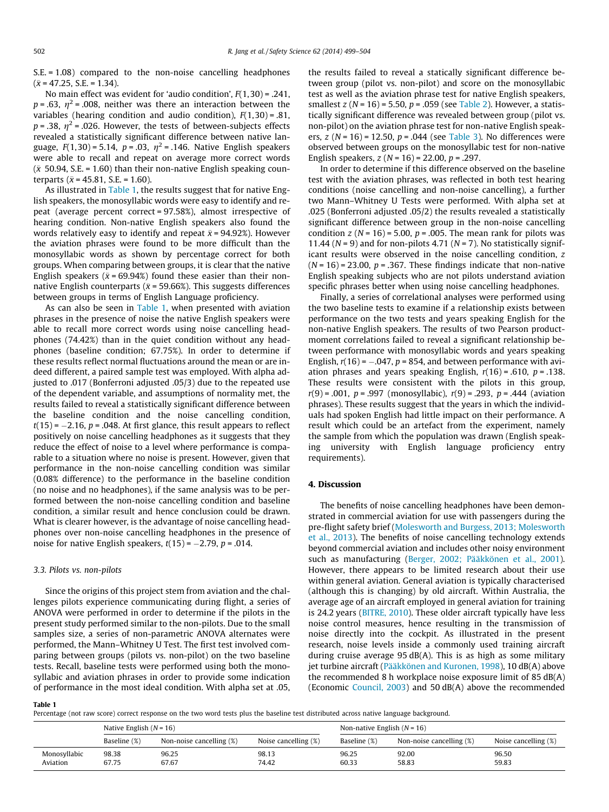S.E. = 1.08) compared to the non-noise cancelling headphones  $(\bar{x} = 47.25, S.E. = 1.34).$ 

No main effect was evident for 'audio condition',  $F(1,30) = .241$ .  $p = .63$ ,  $\eta^2 = .008$ , neither was there an interaction between the variables (hearing condition and audio condition),  $F(1,30) = .81$ ,  $p = 0.38$ ,  $\eta^2 = 0.026$ . However, the tests of between-subjects effects revealed a statistically significant difference between native language,  $F(1,30) = 5.14$ ,  $p = .03$ ,  $\eta^2 = .146$ . Native English speakers were able to recall and repeat on average more correct words ( $\bar{x}$  50.94, S.E. = 1.60) than their non-native English speaking counterparts ( $\bar{x}$  = 45.81, S.E. = 1.60).

As illustrated in Table 1, the results suggest that for native English speakers, the monosyllabic words were easy to identify and repeat (average percent correct = 97.58%), almost irrespective of hearing condition. Non-native English speakers also found the words relatively easy to identify and repeat  $\bar{x}$  = 94.92%). However the aviation phrases were found to be more difficult than the monosyllabic words as shown by percentage correct for both groups. When comparing between groups, it is clear that the native English speakers ( $\bar{x}$  = 69.94%) found these easier than their nonnative English counterparts ( $\bar{x}$  = 59.66%). This suggests differences between groups in terms of English Language proficiency.

As can also be seen in Table 1, when presented with aviation phrases in the presence of noise the native English speakers were able to recall more correct words using noise cancelling headphones (74.42%) than in the quiet condition without any headphones (baseline condition; 67.75%). In order to determine if these results reflect normal fluctuations around the mean or are indeed different, a paired sample test was employed. With alpha adjusted to .017 (Bonferroni adjusted .05/3) due to the repeated use of the dependent variable, and assumptions of normality met, the results failed to reveal a statistically significant difference between the baseline condition and the noise cancelling condition,  $t(15) = -2.16$ ,  $p = .048$ . At first glance, this result appears to reflect positively on noise cancelling headphones as it suggests that they reduce the effect of noise to a level where performance is comparable to a situation where no noise is present. However, given that performance in the non-noise cancelling condition was similar (0.08% difference) to the performance in the baseline condition (no noise and no headphones), if the same analysis was to be performed between the non-noise cancelling condition and baseline condition, a similar result and hence conclusion could be drawn. What is clearer however, is the advantage of noise cancelling headphones over non-noise cancelling headphones in the presence of noise for native English speakers,  $t(15) = -2.79$ ,  $p = .014$ .

# 3.3. Pilots vs. non-pilots

Since the origins of this project stem from aviation and the challenges pilots experience communicating during flight, a series of ANOVA were performed in order to determine if the pilots in the present study performed similar to the non-pilots. Due to the small samples size, a series of non-parametric ANOVA alternates were performed, the Mann–Whitney U Test. The first test involved comparing between groups (pilots vs. non-pilot) on the two baseline tests. Recall, baseline tests were performed using both the monosyllabic and aviation phrases in order to provide some indication of performance in the most ideal condition. With alpha set at .05, the results failed to reveal a statically significant difference between group (pilot vs. non-pilot) and score on the monosyllabic test as well as the aviation phrase test for native English speakers, smallest  $z(N = 16) = 5.50$ ,  $p = .059$  (see [Table 2](#page-4-0)). However, a statistically significant difference was revealed between group (pilot vs. non-pilot) on the aviation phrase test for non-native English speakers,  $z$  ( $N = 16$ ) = 12.50,  $p = .044$  (see [Table 3\)](#page-4-0). No differences were observed between groups on the monosyllabic test for non-native English speakers,  $z (N = 16) = 22.00$ ,  $p = .297$ .

In order to determine if this difference observed on the baseline test with the aviation phrases, was reflected in both test hearing conditions (noise cancelling and non-noise cancelling), a further two Mann–Whitney U Tests were performed. With alpha set at .025 (Bonferroni adjusted .05/2) the results revealed a statistically significant difference between group in the non-noise cancelling condition  $z$  ( $N = 16$ ) = 5.00,  $p = .005$ . The mean rank for pilots was 11.44 ( $N = 9$ ) and for non-pilots 4.71 ( $N = 7$ ). No statistically significant results were observed in the noise cancelling condition, z  $(N = 16) = 23.00$ ,  $p = .367$ . These findings indicate that non-native English speaking subjects who are not pilots understand aviation specific phrases better when using noise cancelling headphones.

Finally, a series of correlational analyses were performed using the two baseline tests to examine if a relationship exists between performance on the two tests and years speaking English for the non-native English speakers. The results of two Pearson productmoment correlations failed to reveal a significant relationship between performance with monosyllabic words and years speaking English,  $r(16) = -.047$ ,  $p = 854$ , and between performance with aviation phrases and years speaking English,  $r(16) = .610$ ,  $p = .138$ . These results were consistent with the pilots in this group,  $r(9) = .001$ ,  $p = .997$  (monosyllabic),  $r(9) = .293$ ,  $p = .444$  (aviation phrases). These results suggest that the years in which the individuals had spoken English had little impact on their performance. A result which could be an artefact from the experiment, namely the sample from which the population was drawn (English speaking university with English language proficiency entry requirements).

# 4. Discussion

The benefits of noise cancelling headphones have been demonstrated in commercial aviation for use with passengers during the pre-flight safety brief ([Molesworth and Burgess, 2013; Molesworth](#page-5-0) [et al., 2013\)](#page-5-0). The benefits of noise cancelling technology extends beyond commercial aviation and includes other noisy environment such as manufacturing [\(Berger, 2002; Pääkkönen et al., 2001\)](#page-5-0). However, there appears to be limited research about their use within general aviation. General aviation is typically characterised (although this is changing) by old aircraft. Within Australia, the average age of an aircraft employed in general aviation for training is 24.2 years [\(BITRE, 2010](#page-5-0)). These older aircraft typically have less noise control measures, hence resulting in the transmission of noise directly into the cockpit. As illustrated in the present research, noise levels inside a commonly used training aircraft during cruise average 95 dB(A). This is as high as some military jet turbine aircraft [\(Pääkkönen and Kuronen, 1998](#page-5-0)), 10 dB(A) above the recommended 8 h workplace noise exposure limit of 85 dB(A) (Economic [Council, 2003](#page-5-0)) and 50 dB(A) above the recommended

Table 1

Percentage (not raw score) correct response on the two word tests plus the baseline test distributed across native language background.

|                          | Native English $(N = 16)$ |                          |                      | Non-native English $(N = 16)$ |                          |                      |
|--------------------------|---------------------------|--------------------------|----------------------|-------------------------------|--------------------------|----------------------|
|                          | Baseline (%)              | Non-noise cancelling (%) | Noise cancelling (%) | Baseline (%)                  | Non-noise cancelling (%) | Noise cancelling (%) |
| Monosyllabic<br>Aviation | 98.38<br>67.75            | 96.25<br>67.67           | 98.13<br>74.42       | 96.25<br>60.33                | 92.00<br>58.83           | 96.50<br>59.83       |
|                          |                           |                          |                      |                               |                          |                      |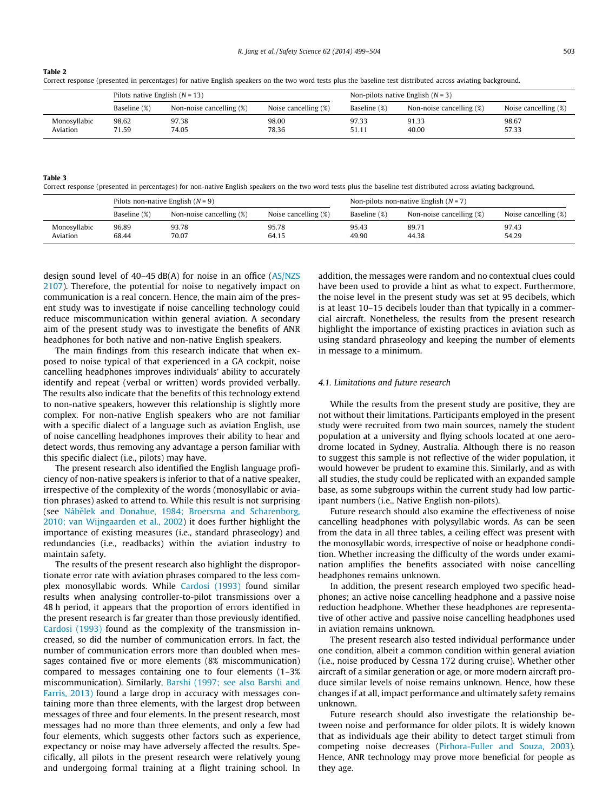| Table 2                          |                                                                                                                                                              |
|----------------------------------|--------------------------------------------------------------------------------------------------------------------------------------------------------------|
|                                  | Correct response (presented in percentages) for native English speakers on the two word tests plus the baseline test distributed across aviating background. |
| Pilots native English $(N = 13)$ | Non-pilots native English $(N = 3)$                                                                                                                          |

| Baseline (%)<br>Monosyllabic<br>98.62 | Non-noise cancelling (%) | Noise cancelling $(\%)$ | Baseline (%)   | Non-noise cancelling (%) | Noise cancelling (%) |
|---------------------------------------|--------------------------|-------------------------|----------------|--------------------------|----------------------|
|                                       |                          |                         |                |                          |                      |
| Aviation<br>71.59                     | 97.38<br>74.05           | 98.00<br>78.36          | 97.33<br>51.11 | 91.33<br>40.00           | 98.67<br>57.33       |

Table 3

<span id="page-4-0"></span> $\sim$  200  $\sim$ 

Correct response (presented in percentages) for non-native English speakers on the two word tests plus the baseline test distributed across aviating background.

|                          | Pilots non-native English $(N = 9)$ |                          |                      | Non-pilots non-native English $(N = 7)$ |                          |                      |
|--------------------------|-------------------------------------|--------------------------|----------------------|-----------------------------------------|--------------------------|----------------------|
|                          | Baseline (%)                        | Non-noise cancelling (%) | Noise cancelling (%) | Baseline (%)                            | Non-noise cancelling (%) | Noise cancelling (%) |
| Monosyllabic<br>Aviation | 96.89<br>68.44                      | 93.78<br>70.07           | 95.78<br>64.15       | 95.43<br>49.90                          | 89.71<br>44.38           | 97.43<br>54.29       |

design sound level of 40–45 dB(A) for noise in an office [\(AS/NZS](#page-5-0) [2107\)](#page-5-0). Therefore, the potential for noise to negatively impact on communication is a real concern. Hence, the main aim of the present study was to investigate if noise cancelling technology could reduce miscommunication within general aviation. A secondary aim of the present study was to investigate the benefits of ANR headphones for both native and non-native English speakers.

The main findings from this research indicate that when exposed to noise typical of that experienced in a GA cockpit, noise cancelling headphones improves individuals' ability to accurately identify and repeat (verbal or written) words provided verbally. The results also indicate that the benefits of this technology extend to non-native speakers, however this relationship is slightly more complex. For non-native English speakers who are not familiar with a specific dialect of a language such as aviation English, use of noise cancelling headphones improves their ability to hear and detect words, thus removing any advantage a person familiar with this specific dialect (i.e., pilots) may have.

The present research also identified the English language proficiency of non-native speakers is inferior to that of a native speaker, irrespective of the complexity of the words (monosyllabic or aviation phrases) asked to attend to. While this result is not surprising (see Nábělek and Donahue, 1984; Broersma and Scharenborg, [2010; van Wijngaarden et al., 2002](#page-5-0)) it does further highlight the importance of existing measures (i.e., standard phraseology) and redundancies (i.e., readbacks) within the aviation industry to maintain safety.

The results of the present research also highlight the disproportionate error rate with aviation phrases compared to the less complex monosyllabic words. While [Cardosi \(1993\)](#page-5-0) found similar results when analysing controller-to-pilot transmissions over a 48 h period, it appears that the proportion of errors identified in the present research is far greater than those previously identified. [Cardosi \(1993\)](#page-5-0) found as the complexity of the transmission increased, so did the number of communication errors. In fact, the number of communication errors more than doubled when messages contained five or more elements (8% miscommunication) compared to messages containing one to four elements (1–3% miscommunication). Similarly, [Barshi \(1997; see also Barshi and](#page-5-0) [Farris, 2013\)](#page-5-0) found a large drop in accuracy with messages containing more than three elements, with the largest drop between messages of three and four elements. In the present research, most messages had no more than three elements, and only a few had four elements, which suggests other factors such as experience, expectancy or noise may have adversely affected the results. Specifically, all pilots in the present research were relatively young and undergoing formal training at a flight training school. In

addition, the messages were random and no contextual clues could have been used to provide a hint as what to expect. Furthermore, the noise level in the present study was set at 95 decibels, which is at least 10–15 decibels louder than that typically in a commercial aircraft. Nonetheless, the results from the present research highlight the importance of existing practices in aviation such as using standard phraseology and keeping the number of elements in message to a minimum.

#### 4.1. Limitations and future research

While the results from the present study are positive, they are not without their limitations. Participants employed in the present study were recruited from two main sources, namely the student population at a university and flying schools located at one aerodrome located in Sydney, Australia. Although there is no reason to suggest this sample is not reflective of the wider population, it would however be prudent to examine this. Similarly, and as with all studies, the study could be replicated with an expanded sample base, as some subgroups within the current study had low participant numbers (i.e., Native English non-pilots).

Future research should also examine the effectiveness of noise cancelling headphones with polysyllabic words. As can be seen from the data in all three tables, a ceiling effect was present with the monosyllabic words, irrespective of noise or headphone condition. Whether increasing the difficulty of the words under examination amplifies the benefits associated with noise cancelling headphones remains unknown.

In addition, the present research employed two specific headphones; an active noise cancelling headphone and a passive noise reduction headphone. Whether these headphones are representative of other active and passive noise cancelling headphones used in aviation remains unknown.

The present research also tested individual performance under one condition, albeit a common condition within general aviation (i.e., noise produced by Cessna 172 during cruise). Whether other aircraft of a similar generation or age, or more modern aircraft produce similar levels of noise remains unknown. Hence, how these changes if at all, impact performance and ultimately safety remains unknown.

Future research should also investigate the relationship between noise and performance for older pilots. It is widely known that as individuals age their ability to detect target stimuli from competing noise decreases ([Pirhora-Fuller and Souza, 2003\)](#page-5-0). Hence, ANR technology may prove more beneficial for people as they age.